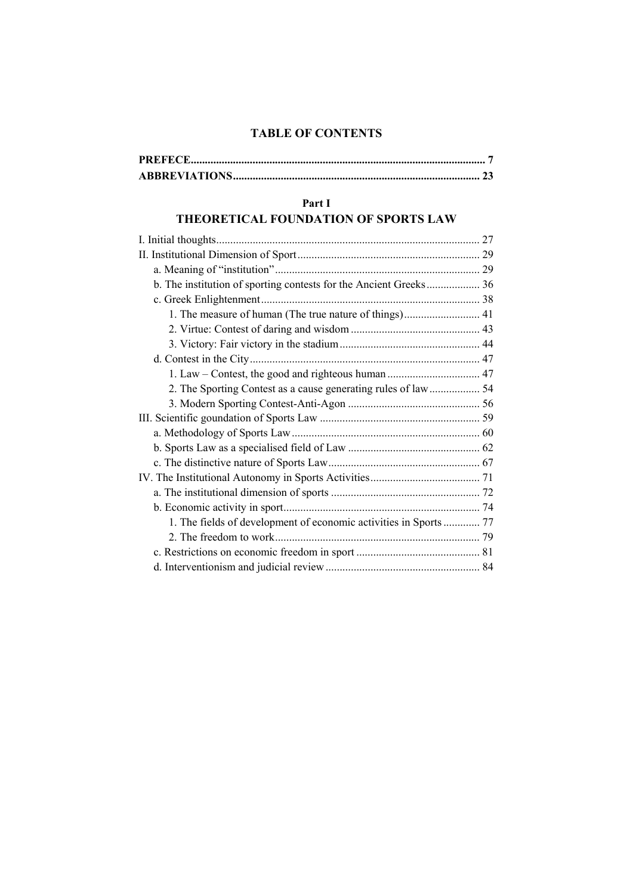#### **TABLE OF CONTENTS**

#### **Part I**

# **THEORETICAL FOUNDATION OF SPORTS LAW**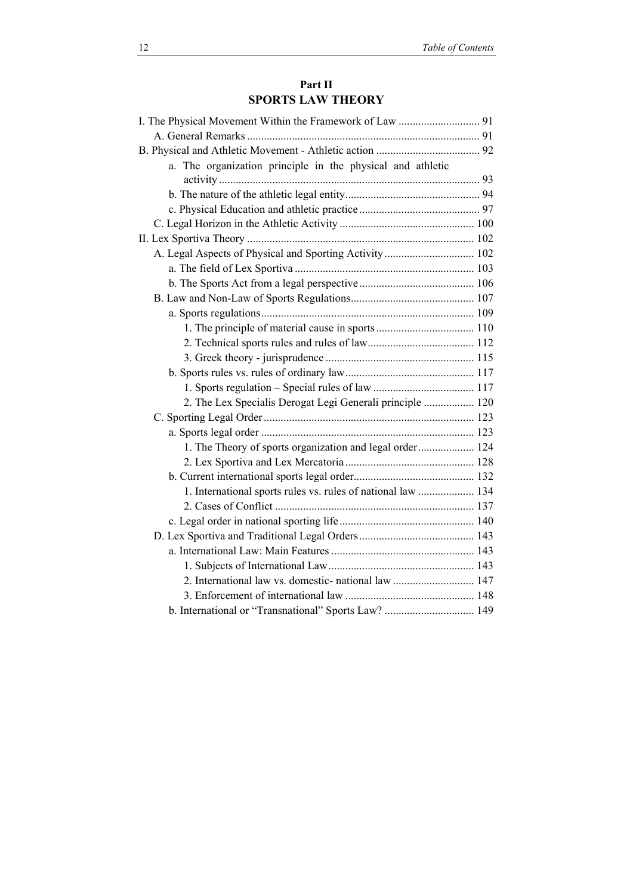#### **Part II SPORTS LAW THEORY**

| a. The organization principle in the physical and athletic   |  |
|--------------------------------------------------------------|--|
|                                                              |  |
|                                                              |  |
|                                                              |  |
|                                                              |  |
|                                                              |  |
|                                                              |  |
|                                                              |  |
|                                                              |  |
|                                                              |  |
|                                                              |  |
|                                                              |  |
|                                                              |  |
|                                                              |  |
|                                                              |  |
|                                                              |  |
| 2. The Lex Specialis Derogat Legi Generali principle  120    |  |
|                                                              |  |
|                                                              |  |
| 1. The Theory of sports organization and legal order 124     |  |
|                                                              |  |
|                                                              |  |
| 1. International sports rules vs. rules of national law  134 |  |
|                                                              |  |
|                                                              |  |
|                                                              |  |
|                                                              |  |
|                                                              |  |
|                                                              |  |
|                                                              |  |
| b. International or "Transnational" Sports Law?  149         |  |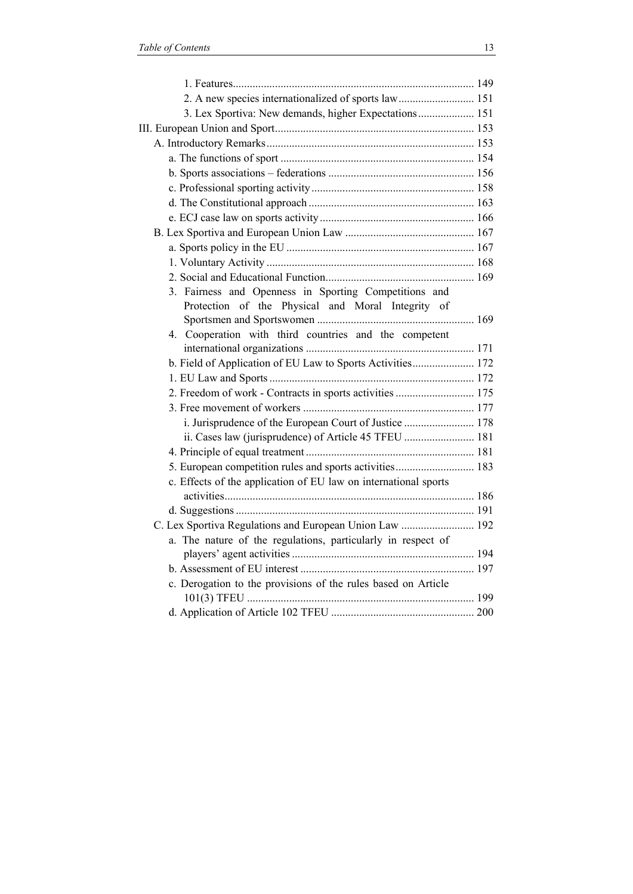| 2. A new species internationalized of sports law 151            |  |
|-----------------------------------------------------------------|--|
| 3. Lex Sportiva: New demands, higher Expectations 151           |  |
|                                                                 |  |
|                                                                 |  |
|                                                                 |  |
|                                                                 |  |
|                                                                 |  |
|                                                                 |  |
|                                                                 |  |
|                                                                 |  |
|                                                                 |  |
|                                                                 |  |
|                                                                 |  |
| 3. Fairness and Openness in Sporting Competitions and           |  |
| Protection of the Physical and Moral Integrity of               |  |
|                                                                 |  |
| 4. Cooperation with third countries and the competent           |  |
|                                                                 |  |
| b. Field of Application of EU Law to Sports Activities 172      |  |
|                                                                 |  |
| 2. Freedom of work - Contracts in sports activities  175        |  |
|                                                                 |  |
| i. Jurisprudence of the European Court of Justice  178          |  |
| ii. Cases law (jurisprudence) of Article 45 TFEU  181           |  |
|                                                                 |  |
| 5. European competition rules and sports activities 183         |  |
| c. Effects of the application of EU law on international sports |  |
|                                                                 |  |
|                                                                 |  |
| C. Lex Sportiva Regulations and European Union Law  192         |  |
| a. The nature of the regulations, particularly in respect of    |  |
|                                                                 |  |
| c. Derogation to the provisions of the rules based on Article   |  |
|                                                                 |  |
|                                                                 |  |
|                                                                 |  |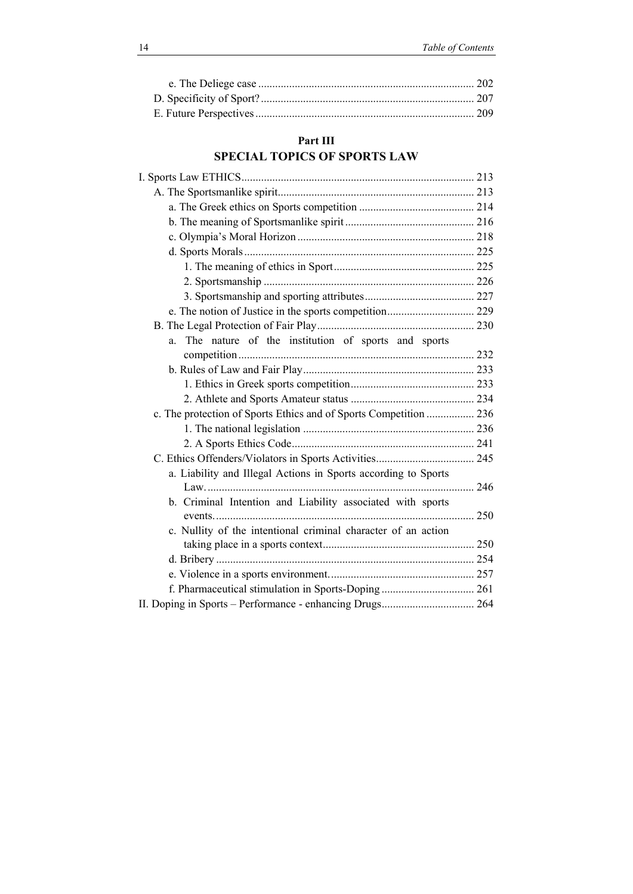## **Part IΙI SPECIAL TOPICS OF SPORTS LAW**

| The nature of the institution of sports and sports<br>a.          |  |
|-------------------------------------------------------------------|--|
|                                                                   |  |
|                                                                   |  |
|                                                                   |  |
|                                                                   |  |
| c. The protection of Sports Ethics and of Sports Competition  236 |  |
|                                                                   |  |
|                                                                   |  |
|                                                                   |  |
| a. Liability and Illegal Actions in Sports according to Sports    |  |
|                                                                   |  |
| b. Criminal Intention and Liability associated with sports        |  |
|                                                                   |  |
| c. Nullity of the intentional criminal character of an action     |  |
|                                                                   |  |
|                                                                   |  |
|                                                                   |  |
|                                                                   |  |
| II. Doping in Sports - Performance - enhancing Drugs 264          |  |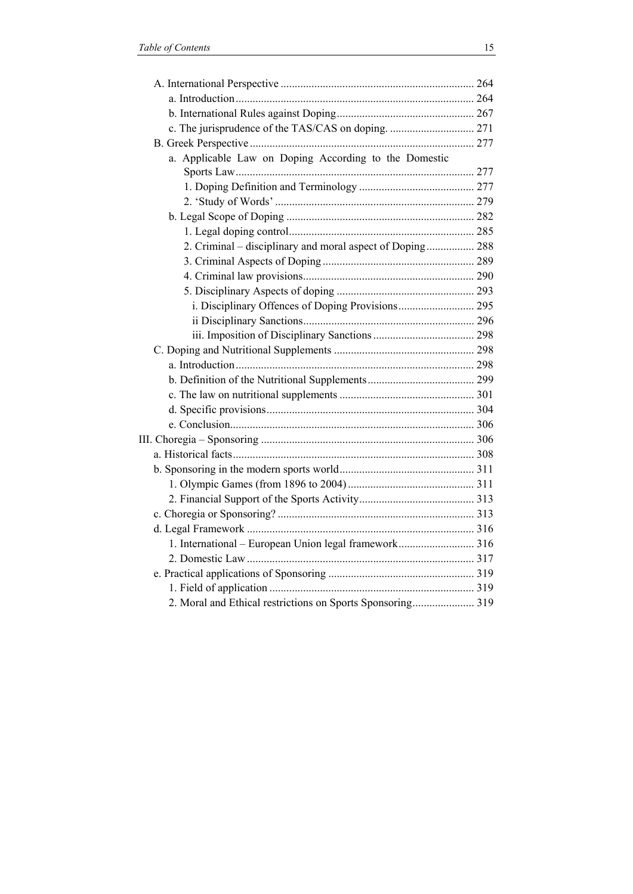| a. Applicable Law on Doping According to the Domestic      |  |
|------------------------------------------------------------|--|
|                                                            |  |
|                                                            |  |
|                                                            |  |
|                                                            |  |
|                                                            |  |
| 2. Criminal - disciplinary and moral aspect of Doping 288  |  |
|                                                            |  |
|                                                            |  |
|                                                            |  |
|                                                            |  |
|                                                            |  |
|                                                            |  |
|                                                            |  |
|                                                            |  |
|                                                            |  |
|                                                            |  |
|                                                            |  |
|                                                            |  |
|                                                            |  |
|                                                            |  |
|                                                            |  |
|                                                            |  |
|                                                            |  |
|                                                            |  |
|                                                            |  |
| 1. International – European Union legal framework 316      |  |
|                                                            |  |
|                                                            |  |
|                                                            |  |
| 2. Moral and Ethical restrictions on Sports Sponsoring 319 |  |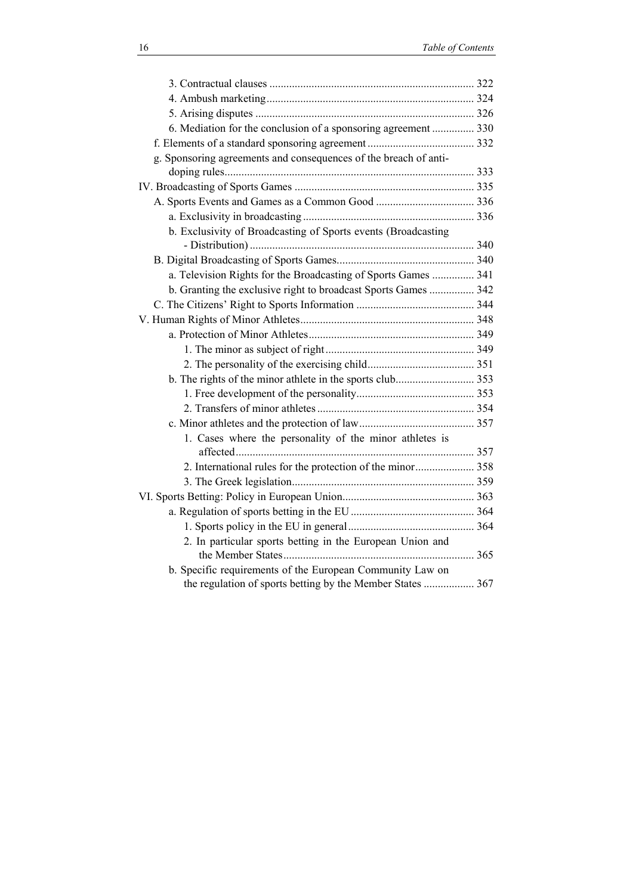| 6. Mediation for the conclusion of a sponsoring agreement  330   |  |
|------------------------------------------------------------------|--|
|                                                                  |  |
| g. Sponsoring agreements and consequences of the breach of anti- |  |
|                                                                  |  |
|                                                                  |  |
|                                                                  |  |
|                                                                  |  |
| b. Exclusivity of Broadcasting of Sports events (Broadcasting    |  |
|                                                                  |  |
|                                                                  |  |
| a. Television Rights for the Broadcasting of Sports Games  341   |  |
| b. Granting the exclusive right to broadcast Sports Games  342   |  |
|                                                                  |  |
|                                                                  |  |
|                                                                  |  |
|                                                                  |  |
|                                                                  |  |
|                                                                  |  |
|                                                                  |  |
|                                                                  |  |
|                                                                  |  |
| 1. Cases where the personality of the minor athletes is          |  |
|                                                                  |  |
|                                                                  |  |
|                                                                  |  |
|                                                                  |  |
|                                                                  |  |
|                                                                  |  |
| 2. In particular sports betting in the European Union and        |  |
|                                                                  |  |
| b. Specific requirements of the European Community Law on        |  |
| the regulation of sports betting by the Member States  367       |  |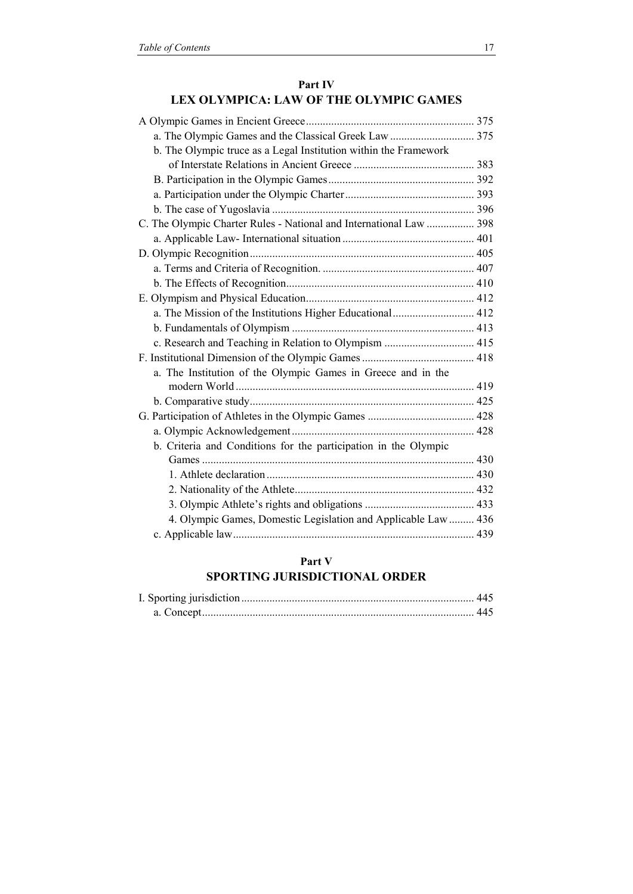#### **Part IV LEX OLYMPICA: LAW OF THE OLYMPIC GAMES**

| b. The Olympic truce as a Legal Institution within the Framework   |  |
|--------------------------------------------------------------------|--|
|                                                                    |  |
|                                                                    |  |
|                                                                    |  |
|                                                                    |  |
| C. The Olympic Charter Rules - National and International Law  398 |  |
|                                                                    |  |
|                                                                    |  |
|                                                                    |  |
|                                                                    |  |
|                                                                    |  |
| a. The Mission of the Institutions Higher Educational 412          |  |
|                                                                    |  |
| c. Research and Teaching in Relation to Olympism  415              |  |
|                                                                    |  |
| a. The Institution of the Olympic Games in Greece and in the       |  |
|                                                                    |  |
|                                                                    |  |
|                                                                    |  |
|                                                                    |  |
| b. Criteria and Conditions for the participation in the Olympic    |  |
|                                                                    |  |
|                                                                    |  |
|                                                                    |  |
|                                                                    |  |
| 4. Olympic Games, Domestic Legislation and Applicable Law  436     |  |
|                                                                    |  |

### **Part V**

## **SPORTING JURISDICTIONAL ORDER**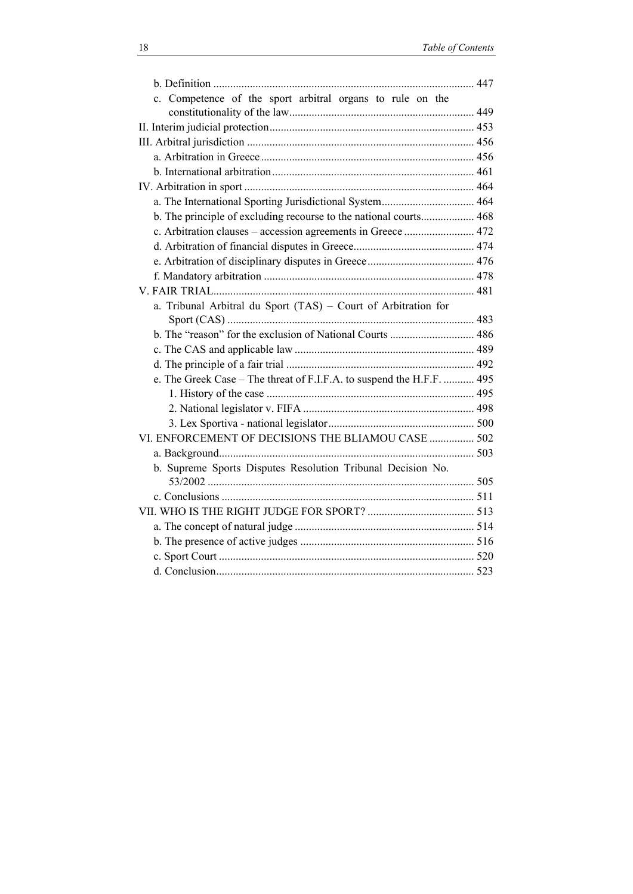| c. Competence of the sport arbitral organs to rule on the             |  |
|-----------------------------------------------------------------------|--|
|                                                                       |  |
|                                                                       |  |
|                                                                       |  |
|                                                                       |  |
|                                                                       |  |
| a. The International Sporting Jurisdictional System 464               |  |
| b. The principle of excluding recourse to the national courts 468     |  |
| c. Arbitration clauses – accession agreements in Greece  472          |  |
|                                                                       |  |
|                                                                       |  |
|                                                                       |  |
|                                                                       |  |
| a. Tribunal Arbitral du Sport (TAS) - Court of Arbitration for        |  |
|                                                                       |  |
|                                                                       |  |
|                                                                       |  |
| e. The Greek Case - The threat of F.I.F.A. to suspend the H.F.F.  495 |  |
|                                                                       |  |
|                                                                       |  |
|                                                                       |  |
| VI. ENFORCEMENT OF DECISIONS THE BLIAMOU CASE  502                    |  |
|                                                                       |  |
| b. Supreme Sports Disputes Resolution Tribunal Decision No.           |  |
|                                                                       |  |
|                                                                       |  |
|                                                                       |  |
|                                                                       |  |
|                                                                       |  |
|                                                                       |  |
|                                                                       |  |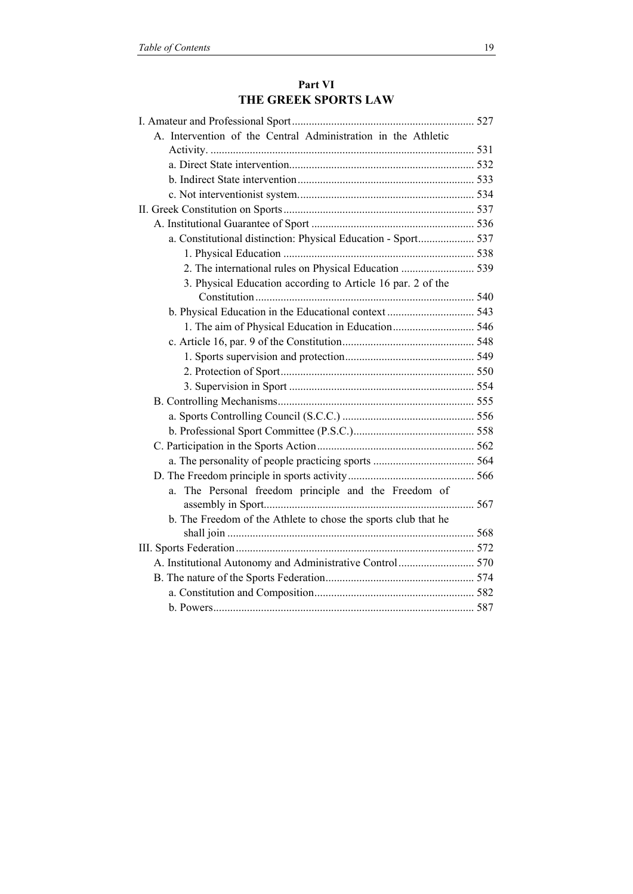| A. Intervention of the Central Administration in the Athletic  |  |
|----------------------------------------------------------------|--|
|                                                                |  |
|                                                                |  |
|                                                                |  |
|                                                                |  |
|                                                                |  |
|                                                                |  |
| a. Constitutional distinction: Physical Education - Sport 537  |  |
|                                                                |  |
| 2. The international rules on Physical Education  539          |  |
| 3. Physical Education according to Article 16 par. 2 of the    |  |
|                                                                |  |
|                                                                |  |
|                                                                |  |
|                                                                |  |
|                                                                |  |
|                                                                |  |
|                                                                |  |
|                                                                |  |
|                                                                |  |
|                                                                |  |
|                                                                |  |
|                                                                |  |
|                                                                |  |
| The Personal freedom principle and the Freedom of<br>a.        |  |
|                                                                |  |
| b. The Freedom of the Athlete to chose the sports club that he |  |
|                                                                |  |
|                                                                |  |
|                                                                |  |
|                                                                |  |
|                                                                |  |
|                                                                |  |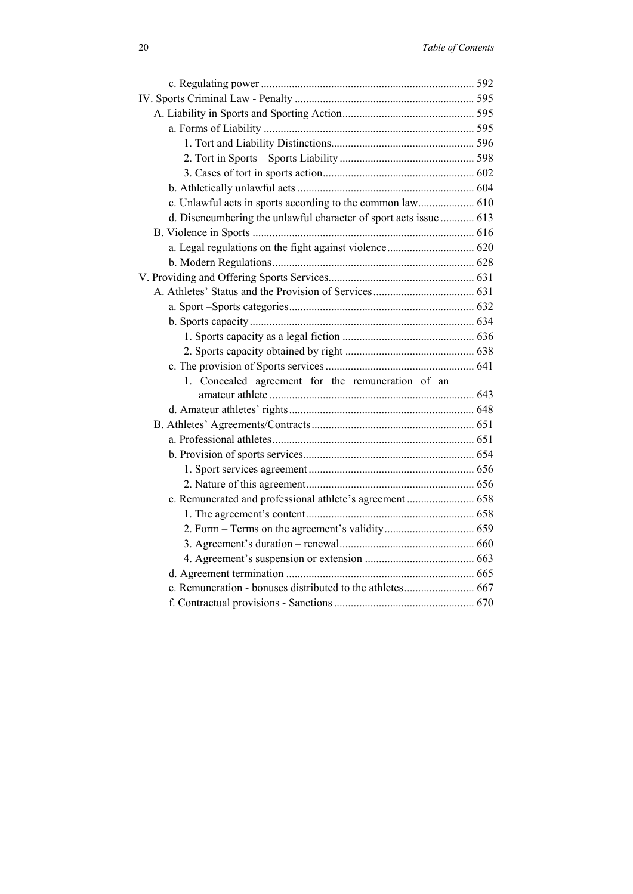| c. Unlawful acts in sports according to the common law 610        |  |
|-------------------------------------------------------------------|--|
| d. Disencumbering the unlawful character of sport acts issue  613 |  |
|                                                                   |  |
|                                                                   |  |
|                                                                   |  |
|                                                                   |  |
|                                                                   |  |
|                                                                   |  |
|                                                                   |  |
|                                                                   |  |
|                                                                   |  |
|                                                                   |  |
| 1. Concealed agreement for the remuneration of an                 |  |
|                                                                   |  |
|                                                                   |  |
|                                                                   |  |
|                                                                   |  |
|                                                                   |  |
|                                                                   |  |
|                                                                   |  |
| c. Remunerated and professional athlete's agreement  658          |  |
|                                                                   |  |
|                                                                   |  |
|                                                                   |  |
|                                                                   |  |
|                                                                   |  |
|                                                                   |  |
|                                                                   |  |